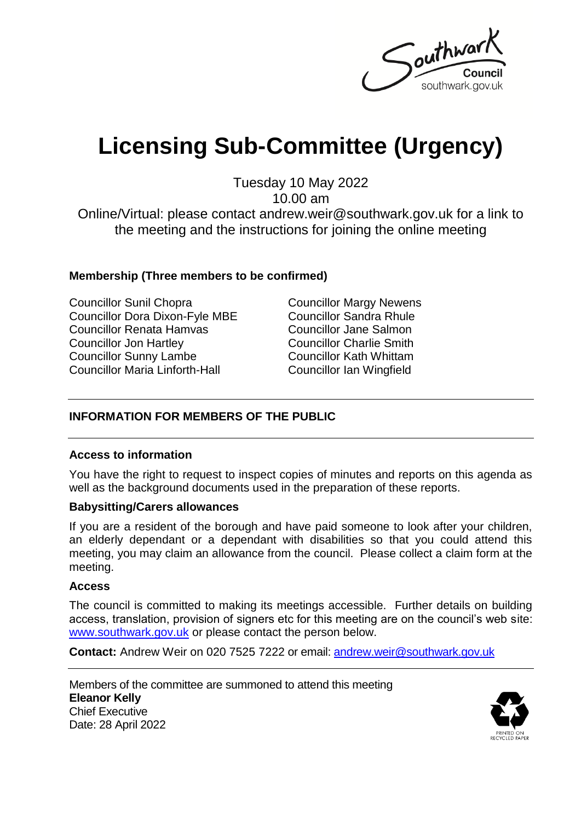

# **Licensing Sub-Committee (Urgency)**

Tuesday 10 May 2022

10.00 am

Online/Virtual: please contact andrew.weir@southwark.gov.uk for a link to the meeting and the instructions for joining the online meeting

#### **Membership (Three members to be confirmed)**

Councillor Sunil Chopra Councillor Dora Dixon-Fyle MBE Councillor Renata Hamvas Councillor Jon Hartley Councillor Sunny Lambe Councillor Maria Linforth-Hall

Councillor Margy Newens Councillor Sandra Rhule Councillor Jane Salmon Councillor Charlie Smith Councillor Kath Whittam Councillor Ian Wingfield

### **INFORMATION FOR MEMBERS OF THE PUBLIC**

#### **Access to information**

You have the right to request to inspect copies of minutes and reports on this agenda as well as the background documents used in the preparation of these reports.

#### **Babysitting/Carers allowances**

If you are a resident of the borough and have paid someone to look after your children, an elderly dependant or a dependant with disabilities so that you could attend this meeting, you may claim an allowance from the council. Please collect a claim form at the meeting.

#### **Access**

The council is committed to making its meetings accessible. Further details on building access, translation, provision of signers etc for this meeting are on the council's web site: [www.southwark.gov.uk](http://www.southwark.gov.uk/Public/Home.aspx) or please contact the person below.

**Contact:** Andrew Weir on 020 7525 7222 or email: [andrew.weir@southwark.gov.uk](mailto:andrew.weir@southwark.gov.uk)

Members of the committee are summoned to attend this meeting **Eleanor Kelly** Chief Executive Date: 28 April 2022

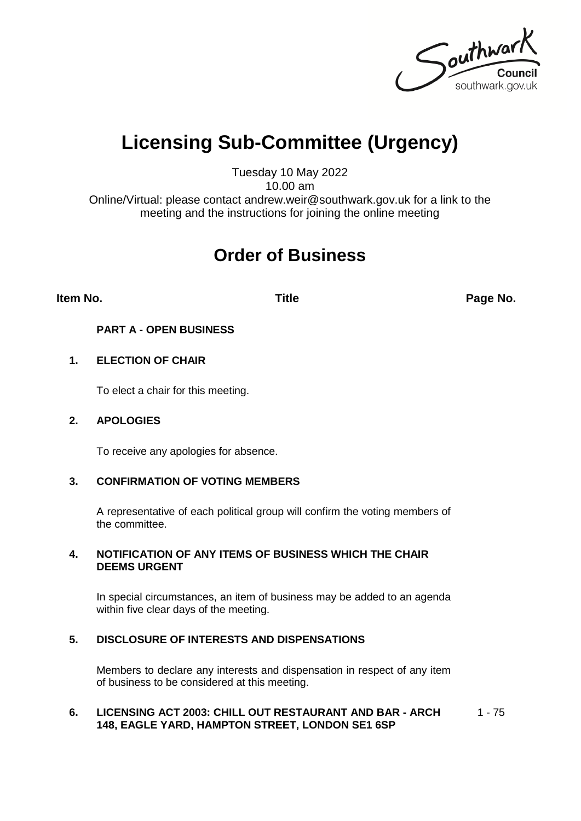Southwark southwark.gov.uk

## **Licensing Sub-Committee (Urgency)**

Tuesday 10 May 2022 10.00 am

Online/Virtual: please contact andrew.weir@southwark.gov.uk for a link to the meeting and the instructions for joining the online meeting

### **Order of Business**

**Item No. Title Page No.**

#### **PART A - OPEN BUSINESS**

#### **1. ELECTION OF CHAIR**

To elect a chair for this meeting.

#### **2. APOLOGIES**

To receive any apologies for absence.

#### **3. CONFIRMATION OF VOTING MEMBERS**

A representative of each political group will confirm the voting members of the committee.

#### **4. NOTIFICATION OF ANY ITEMS OF BUSINESS WHICH THE CHAIR DEEMS URGENT**

In special circumstances, an item of business may be added to an agenda within five clear days of the meeting.

#### **5. DISCLOSURE OF INTERESTS AND DISPENSATIONS**

Members to declare any interests and dispensation in respect of any item of business to be considered at this meeting.

#### **6. LICENSING ACT 2003: CHILL OUT RESTAURANT AND BAR - ARCH 148, EAGLE YARD, HAMPTON STREET, LONDON SE1 6SP**  $1 - 75$